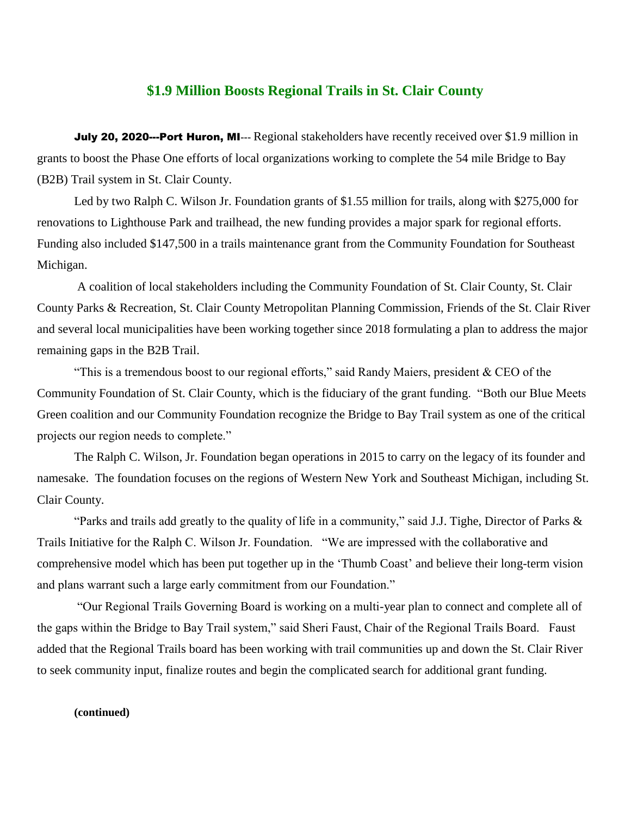## **\$1.9 Million Boosts Regional Trails in St. Clair County**

July 20, 2020---Port Huron, MI**---** Regional stakeholders have recently received over \$1.9 million in grants to boost the Phase One efforts of local organizations working to complete the 54 mile Bridge to Bay (B2B) Trail system in St. Clair County.

Led by two Ralph C. Wilson Jr. Foundation grants of \$1.55 million for trails, along with \$275,000 for renovations to Lighthouse Park and trailhead, the new funding provides a major spark for regional efforts. Funding also included \$147,500 in a trails maintenance grant from the Community Foundation for Southeast Michigan.

A coalition of local stakeholders including the Community Foundation of St. Clair County, St. Clair County Parks & Recreation, St. Clair County Metropolitan Planning Commission, Friends of the St. Clair River and several local municipalities have been working together since 2018 formulating a plan to address the major remaining gaps in the B2B Trail.

"This is a tremendous boost to our regional efforts," said Randy Maiers, president & CEO of the Community Foundation of St. Clair County, which is the fiduciary of the grant funding. "Both our Blue Meets Green coalition and our Community Foundation recognize the Bridge to Bay Trail system as one of the critical projects our region needs to complete."

The Ralph C. Wilson, Jr. Foundation began operations in 2015 to carry on the legacy of its founder and namesake. The foundation focuses on the regions of Western New York and Southeast Michigan, including St. Clair County.

"Parks and trails add greatly to the quality of life in a community," said J.J. Tighe, Director of Parks & Trails Initiative for the Ralph C. Wilson Jr. Foundation. "We are impressed with the collaborative and comprehensive model which has been put together up in the 'Thumb Coast' and believe their long-term vision and plans warrant such a large early commitment from our Foundation."

"Our Regional Trails Governing Board is working on a multi-year plan to connect and complete all of the gaps within the Bridge to Bay Trail system," said Sheri Faust, Chair of the Regional Trails Board. Faust added that the Regional Trails board has been working with trail communities up and down the St. Clair River to seek community input, finalize routes and begin the complicated search for additional grant funding.

**(continued)**